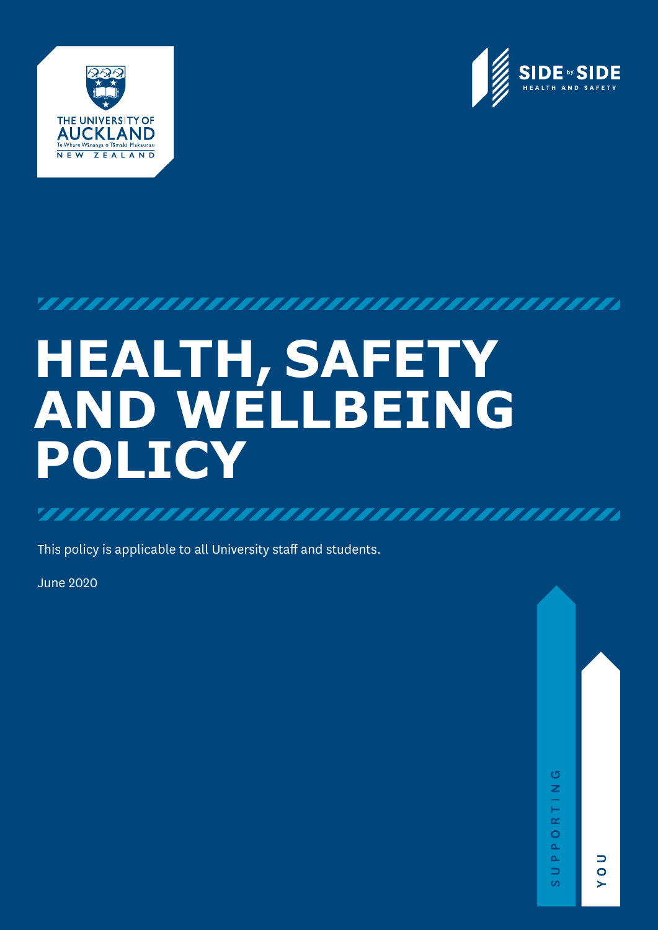



# 

# **HEALTH, SAFETY AND WELLBEING POLICY**

This policy is applicable to all University staff and students.

June 2020

 $\Box$ 

 $\bullet$ 

s

 $\sigma$ 

 $\frac{z}{\Gamma}$  $\alpha$  $\circ$  $\Delta$  $\Delta$ 

 $\Rightarrow$ 

ဖ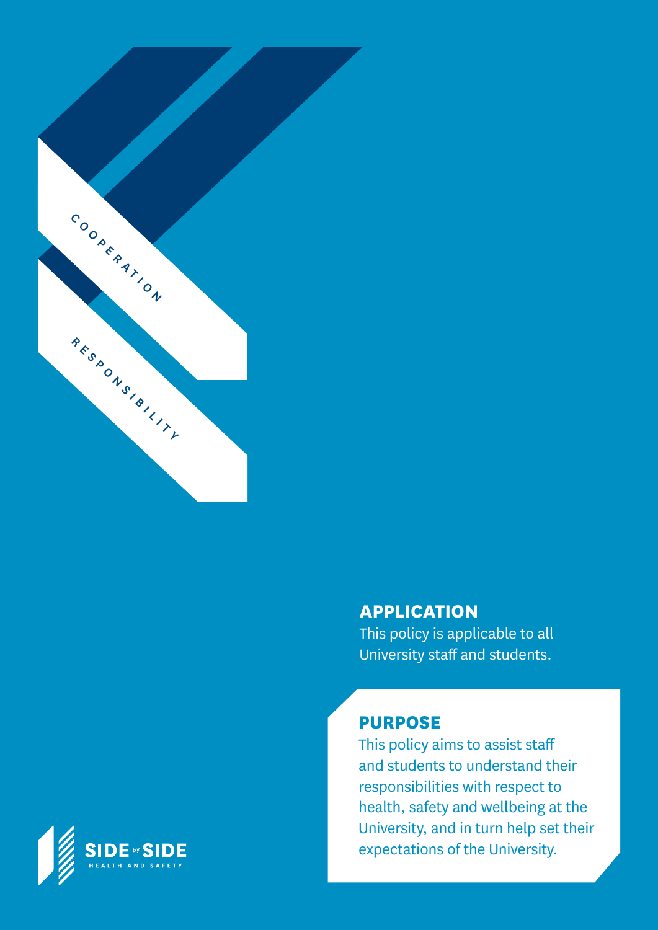

### **APPLICATION**

This policy is applicable to all University staff and students.

### **PURPOSE**

This policy aims to assist staff and students to understand their responsibilities with respect to health, safety and wellbeing at the University, and in turn help set their expectations of the University.

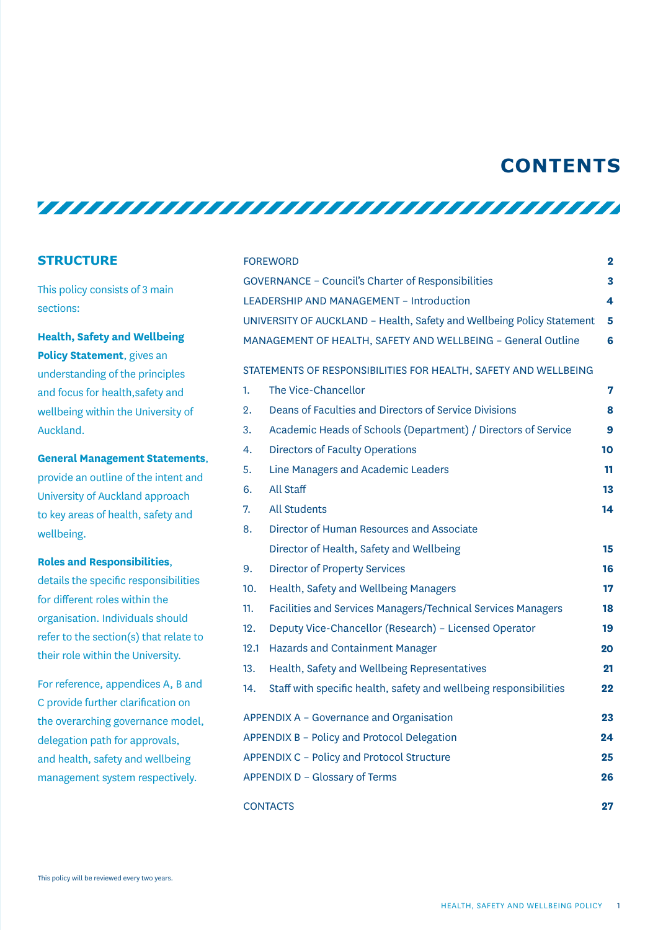### **CONTENTS**

<u>TITTI TITTI TITTI TITTI TITTI TITTI TITTI TITTI TITTI TITTI TITTI TITTI TITTI TITTI TITTI TITTI TITTI TITTI TI</u>

#### **STRUCTURE**

This policy consists of 3 main sections:

**Health, Safety and Wellbeing Policy Statement**, gives an understanding of the principles and focus for health,safety and wellbeing within the University of Auckland.

**General Management Statements**, provide an outline of the intent and University of Auckland approach to key areas of health, safety and wellbeing.

#### **Roles and Responsibilities**,

details the specific responsibilities for different roles within the organisation. Individuals should refer to the section(s) that relate to their role within the University.

For reference, appendices A, B and C provide further clarification on the overarching governance model, delegation path for approvals, and health, safety and wellbeing management system respectively.

|                                                                 |      | <b>FOREWORD</b>                                                        |    |  |
|-----------------------------------------------------------------|------|------------------------------------------------------------------------|----|--|
|                                                                 |      | <b>GOVERNANCE - Council's Charter of Responsibilities</b>              | 3  |  |
|                                                                 |      | LEADERSHIP AND MANAGEMENT - Introduction                               | 4  |  |
|                                                                 |      | UNIVERSITY OF AUCKLAND - Health, Safety and Wellbeing Policy Statement | 5  |  |
|                                                                 |      | MANAGEMENT OF HEALTH, SAFETY AND WELLBEING - General Outline           | 6  |  |
| STATEMENTS OF RESPONSIBILITIES FOR HEALTH, SAFETY AND WELLBEING |      |                                                                        |    |  |
|                                                                 | 1.   | The Vice-Chancellor                                                    | 7  |  |
|                                                                 | 2.   | Deans of Faculties and Directors of Service Divisions                  | 8  |  |
|                                                                 | 3.   | Academic Heads of Schools (Department) / Directors of Service          | 9  |  |
|                                                                 | 4.   | <b>Directors of Faculty Operations</b>                                 | 10 |  |
|                                                                 | 5.   | Line Managers and Academic Leaders                                     | 11 |  |
|                                                                 | 6.   | All Staff                                                              | 13 |  |
|                                                                 | 7.   | <b>All Students</b>                                                    | 14 |  |
|                                                                 | 8.   | Director of Human Resources and Associate                              |    |  |
|                                                                 |      | Director of Health, Safety and Wellbeing                               | 15 |  |
|                                                                 | 9.   | <b>Director of Property Services</b>                                   | 16 |  |
|                                                                 | 10.  | Health, Safety and Wellbeing Managers                                  | 17 |  |
|                                                                 | 11.  | Facilities and Services Managers/Technical Services Managers           | 18 |  |
|                                                                 | 12.  | Deputy Vice-Chancellor (Research) - Licensed Operator                  | 19 |  |
|                                                                 | 12.1 | Hazards and Containment Manager                                        | 20 |  |
|                                                                 | 13.  | Health, Safety and Wellbeing Representatives                           | 21 |  |
|                                                                 | 14.  | Staff with specific health, safety and wellbeing responsibilities      | 22 |  |
| APPENDIX A - Governance and Organisation                        |      |                                                                        | 23 |  |
| APPENDIX B - Policy and Protocol Delegation                     |      |                                                                        | 24 |  |
|                                                                 |      | APPENDIX C - Policy and Protocol Structure                             | 25 |  |
| APPENDIX D - Glossary of Terms                                  |      |                                                                        | 26 |  |
| <b>CONTACTS</b><br>27                                           |      |                                                                        |    |  |
|                                                                 |      |                                                                        |    |  |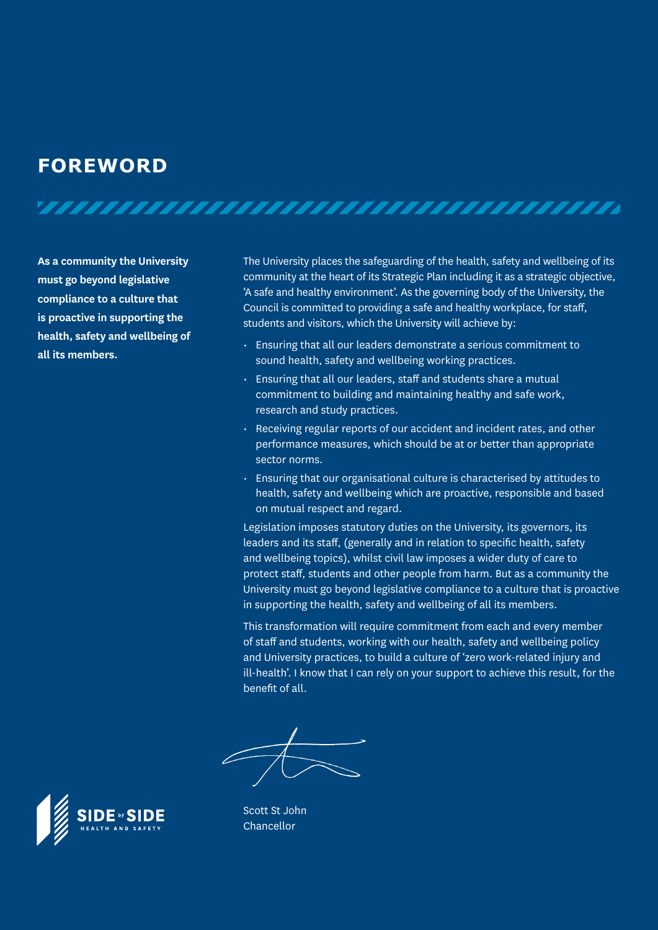### **FOREWORD**

**As a community the University must go beyond legislative compliance to a culture that is proactive in supporting the health, safety and wellbeing of all its members.**

The University places the safeguarding of the health, safety and wellbeing of its community at the heart of its Strategic Plan including it as a strategic objective, 'A safe and healthy environment'. As the governing body of the University, the Council is committed to providing a safe and healthy workplace, for staff, students and visitors, which the University will achieve by:

• Ensuring that all our leaders demonstrate a serious commitment to sound health, safety and wellbeing working practices.

- Ensuring that all our leaders, staff and students share a mutual commitment to building and maintaining healthy and safe work, research and study practices.
- Receiving regular reports of our accident and incident rates, and other performance measures, which should be at or better than appropriate sector norms.
- Ensuring that our organisational culture is characterised by attitudes to health, safety and wellbeing which are proactive, responsible and based on mutual respect and regard.

Legislation imposes statutory duties on the University, its governors, its leaders and its staff, (generally and in relation to specific health, safety and wellbeing topics), whilst civil law imposes a wider duty of care to protect staff, students and other people from harm. But as a community the University must go beyond legislative compliance to a culture that is proactive in supporting the health, safety and wellbeing of all its members.

This transformation will require commitment from each and every member of staff and students, working with our health, safety and wellbeing policy and University practices, to build a culture of 'zero work-related injury and ill-health'. I know that I can rely on your support to achieve this result, for the benefit of all.



Scott St John Chancellor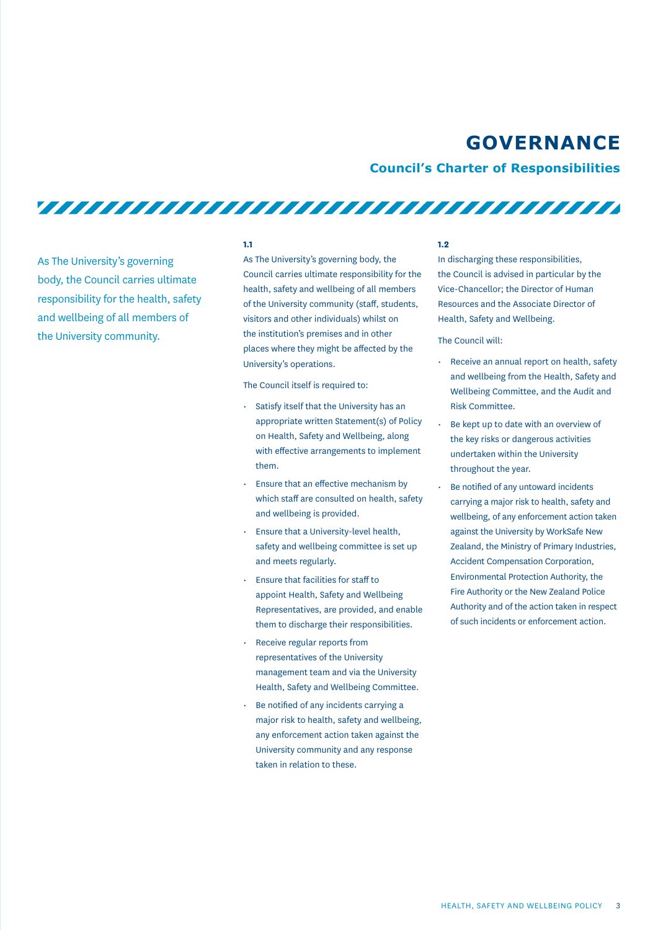### **GOVERNANCE**

#### **Council's Charter of Responsibilities**

As The University's governing body, the Council carries ultimate responsibility for the health, safety and wellbeing of all members of the University community.

#### **1.1**

As The University's governing body, the Council carries ultimate responsibility for the health, safety and wellbeing of all members of the University community (staff, students, visitors and other individuals) whilst on the institution's premises and in other places where they might be affected by the University's operations.

The Council itself is required to:

- Satisfy itself that the University has an appropriate written Statement(s) of Policy on Health, Safety and Wellbeing, along with effective arrangements to implement them.
- Ensure that an effective mechanism by which staff are consulted on health, safety and wellbeing is provided.
- Ensure that a University-level health, safety and wellbeing committee is set up and meets regularly.
- Ensure that facilities for staff to appoint Health, Safety and Wellbeing Representatives, are provided, and enable them to discharge their responsibilities.
- Receive regular reports from representatives of the University management team and via the University Health, Safety and Wellbeing Committee.
- Be notified of any incidents carrying a major risk to health, safety and wellbeing, any enforcement action taken against the University community and any response taken in relation to these.

#### **1.2**

In discharging these responsibilities, the Council is advised in particular by the Vice-Chancellor; the Director of Human Resources and the Associate Director of Health, Safety and Wellbeing.

#### The Council will:

- Receive an annual report on health, safety and wellbeing from the Health, Safety and Wellbeing Committee, and the Audit and Risk Committee.
- Be kept up to date with an overview of the key risks or dangerous activities undertaken within the University throughout the year.
- Be notified of any untoward incidents carrying a major risk to health, safety and wellbeing, of any enforcement action taken against the University by WorkSafe New Zealand, the Ministry of Primary Industries, Accident Compensation Corporation, Environmental Protection Authority, the Fire Authority or the New Zealand Police Authority and of the action taken in respect of such incidents or enforcement action.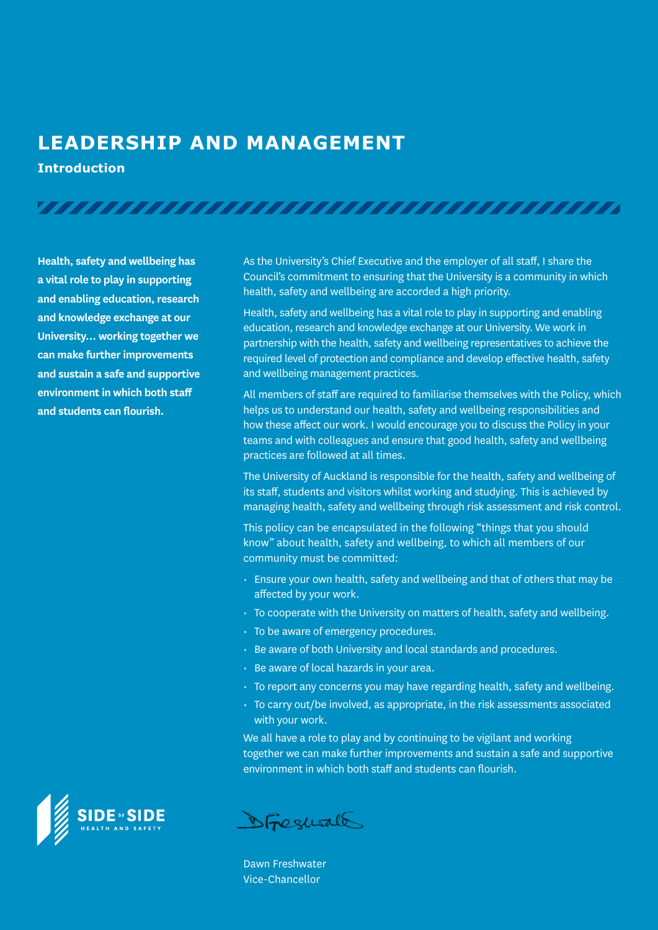### **LEADERSHIP AND MANAGEMENT**

**Introduction**

**Health, safety and wellbeing has a vital role to play in supporting and enabling education, research and knowledge exchange at our University… working together we can make further improvements and sustain a safe and supportive environment in which both staff** 

**and students can flourish.**

As the University's Chief Executive and the employer of all staff, I share the Council's commitment to ensuring that the University is a community in which health, safety and wellbeing are accorded a high priority.

Health, safety and wellbeing has a vital role to play in supporting and enabling education, research and knowledge exchange at our University. We work in partnership with the health, safety and wellbeing representatives to achieve the required level of protection and compliance and develop effective health, safety and wellbeing management practices.

All members of staff are required to familiarise themselves with the Policy, which helps us to understand our health, safety and wellbeing responsibilities and how these affect our work. I would encourage you to discuss the Policy in your teams and with colleagues and ensure that good health, safety and wellbeing practices are followed at all times.

The University of Auckland is responsible for the health, safety and wellbeing of its staff, students and visitors whilst working and studying. This is achieved by managing health, safety and wellbeing through risk assessment and risk control.

This policy can be encapsulated in the following "things that you should know" about health, safety and wellbeing, to which all members of our community must be committed:

- Ensure your own health, safety and wellbeing and that of others that may be affected by your work.
- To cooperate with the University on matters of health, safety and wellbeing.
- To be aware of emergency procedures.

- Be aware of both University and local standards and procedures.
- Be aware of local hazards in your area.
- To report any concerns you may have regarding health, safety and wellbeing.
- To carry out/be involved, as appropriate, in the risk assessments associated with your work.

We all have a role to play and by continuing to be vigilant and working together we can make further improvements and sustain a safe and supportive environment in which both staff and students can flourish.



DFrequall

Dawn Freshwater Vice-Chancellor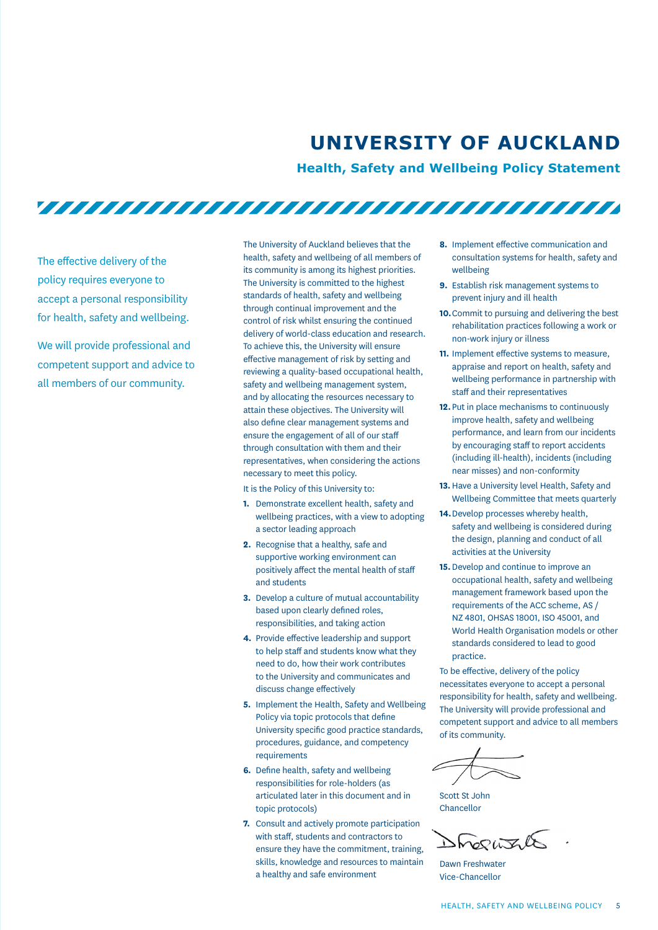# **UNIVERSITY OF AUCKLAND**

**Health, Safety and Wellbeing Policy Statement**

<u>TITTI TITTI TITTI TITTI TITTI TITTI TITTI TITTI TI</u>

The effective delivery of the policy requires everyone to accept a personal responsibility for health, safety and wellbeing.

We will provide professional and competent support and advice to all members of our community.

The University of Auckland believes that the health, safety and wellbeing of all members of its community is among its highest priorities. The University is committed to the highest standards of health, safety and wellbeing through continual improvement and the control of risk whilst ensuring the continued delivery of world-class education and research. To achieve this, the University will ensure effective management of risk by setting and reviewing a quality-based occupational health, safety and wellbeing management system, and by allocating the resources necessary to attain these objectives. The University will also define clear management systems and ensure the engagement of all of our staff through consultation with them and their representatives, when considering the actions necessary to meet this policy.

It is the Policy of this University to:

- **1.** Demonstrate excellent health, safety and wellbeing practices, with a view to adopting a sector leading approach
- **2.** Recognise that a healthy, safe and supportive working environment can positively affect the mental health of staff and students
- **3.** Develop a culture of mutual accountability based upon clearly defined roles, responsibilities, and taking action
- **4.** Provide effective leadership and support to help staff and students know what they need to do, how their work contributes to the University and communicates and discuss change effectively
- **5.** Implement the Health, Safety and Wellbeing Policy via topic protocols that define University specific good practice standards, procedures, guidance, and competency requirements
- **6.** Define health, safety and wellbeing responsibilities for role-holders (as articulated later in this document and in topic protocols)
- **7.** Consult and actively promote participation with staff, students and contractors to ensure they have the commitment, training, skills, knowledge and resources to maintain a healthy and safe environment
- **8.** Implement effective communication and consultation systems for health, safety and wellbeing
- **9.** Establish risk management systems to prevent injury and ill health
- **10.**Commit to pursuing and delivering the best rehabilitation practices following a work or non-work injury or illness
- **11.** Implement effective systems to measure, appraise and report on health, safety and wellbeing performance in partnership with staff and their representatives
- **12.**Put in place mechanisms to continuously improve health, safety and wellbeing performance, and learn from our incidents by encouraging staff to report accidents (including ill-health), incidents (including near misses) and non-conformity
- **13.**Have a University level Health, Safety and Wellbeing Committee that meets quarterly
- **14.**Develop processes whereby health, safety and wellbeing is considered during the design, planning and conduct of all activities at the University
- **15.**Develop and continue to improve an occupational health, safety and wellbeing management framework based upon the requirements of the ACC scheme, AS / NZ 4801, OHSAS 18001, ISO 45001, and World Health Organisation models or other standards considered to lead to good practice.

To be effective, delivery of the policy necessitates everyone to accept a personal responsibility for health, safety and wellbeing. The University will provide professional and competent support and advice to all members of its community.

Scott St John Chancellor

Shoghtle

Dawn Freshwater Vice-Chancellor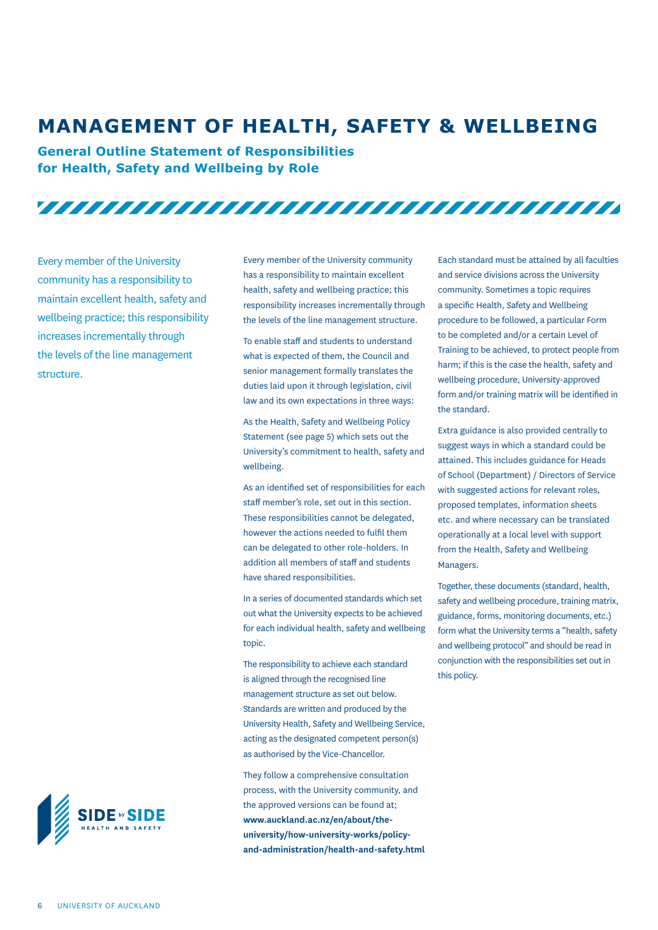### **MANAGEMENT OF HEALTH, SAFETY & WELLBEING**

**General Outline Statement of Responsibilities for Health, Safety and Wellbeing by Role**

<u>TITTI TITTI TITTI TITTI TITTI TITTI TITTI TITTI TITTI TITTI TITTI TITTI TITTI TITTI TITTI TITTI TITTI TITTI TI</u>

Every member of the University community has a responsibility to maintain excellent health, safety and wellbeing practice; this responsibility increases incrementally through the levels of the line management structure.

Every member of the University community has a responsibility to maintain excellent health, safety and wellbeing practice; this responsibility increases incrementally through the levels of the line management structure.

To enable staff and students to understand what is expected of them, the Council and senior management formally translates the duties laid upon it through legislation, civil law and its own expectations in three ways:

As the Health, Safety and Wellbeing Policy Statement (see page 5) which sets out the University's commitment to health, safety and wellbeing.

As an identified set of responsibilities for each staff member's role, set out in this section. These responsibilities cannot be delegated, however the actions needed to fulfil them can be delegated to other role-holders. In addition all members of staff and students have shared responsibilities.

In a series of documented standards which set out what the University expects to be achieved for each individual health, safety and wellbeing topic.

The responsibility to achieve each standard is aligned through the recognised line management structure as set out below. Standards are written and produced by the University Health, Safety and Wellbeing Service, acting as the designated competent person(s) as authorised by the Vice-Chancellor.

They follow a comprehensive consultation process, with the University community, and the approved versions can be found at; **www.auckland.ac.nz/en/about/theuniversity/how-university-works/policyand-administration/health-and-safety.html**

Each standard must be attained by all faculties and service divisions across the University community. Sometimes a topic requires a specific Health, Safety and Wellbeing procedure to be followed, a particular Form to be completed and/or a certain Level of Training to be achieved, to protect people from harm; if this is the case the health, safety and wellbeing procedure, University-approved form and/or training matrix will be identified in the standard.

Extra guidance is also provided centrally to suggest ways in which a standard could be attained. This includes guidance for Heads of School (Department) / Directors of Service with suggested actions for relevant roles, proposed templates, information sheets etc. and where necessary can be translated operationally at a local level with support from the Health, Safety and Wellbeing Managers.

Together, these documents (standard, health, safety and wellbeing procedure, training matrix, guidance, forms, monitoring documents, etc.) form what the University terms a "health, safety and wellbeing protocol" and should be read in conjunction with the responsibilities set out in this policy.

**SIDE by SIDE**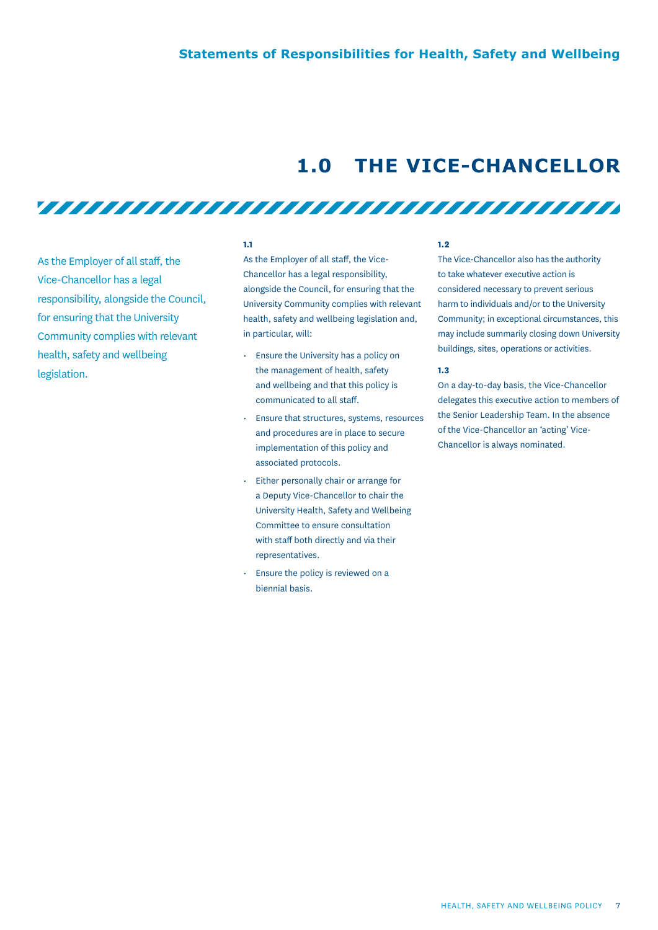### **1.0 THE VICE-CHANCELLOR**

As the Employer of all staff, the Vice-Chancellor has a legal responsibility, alongside the Council, for ensuring that the University Community complies with relevant health, safety and wellbeing legislation.

#### **1.1**

As the Employer of all staff, the Vice-Chancellor has a legal responsibility, alongside the Council, for ensuring that the University Community complies with relevant health, safety and wellbeing legislation and, in particular, will:

<u>TITTI TITTI TITTI TITTI TITTI TITTI TITTI TITTI TITTI TITTI TITTI TITTI TITTI TITTI TITTI TITTI TITTI TITTI TI</u>

- Ensure the University has a policy on the management of health, safety and wellbeing and that this policy is communicated to all staff.
- Ensure that structures, systems, resources and procedures are in place to secure implementation of this policy and associated protocols.
- Either personally chair or arrange for a Deputy Vice-Chancellor to chair the University Health, Safety and Wellbeing Committee to ensure consultation with staff both directly and via their representatives.
- Ensure the policy is reviewed on a biennial basis.

#### **1.2**

The Vice-Chancellor also has the authority to take whatever executive action is considered necessary to prevent serious harm to individuals and/or to the University Community; in exceptional circumstances, this may include summarily closing down University buildings, sites, operations or activities.

#### **1.3**

On a day-to-day basis, the Vice-Chancellor delegates this executive action to members of the Senior Leadership Team. In the absence of the Vice-Chancellor an 'acting' Vice-Chancellor is always nominated.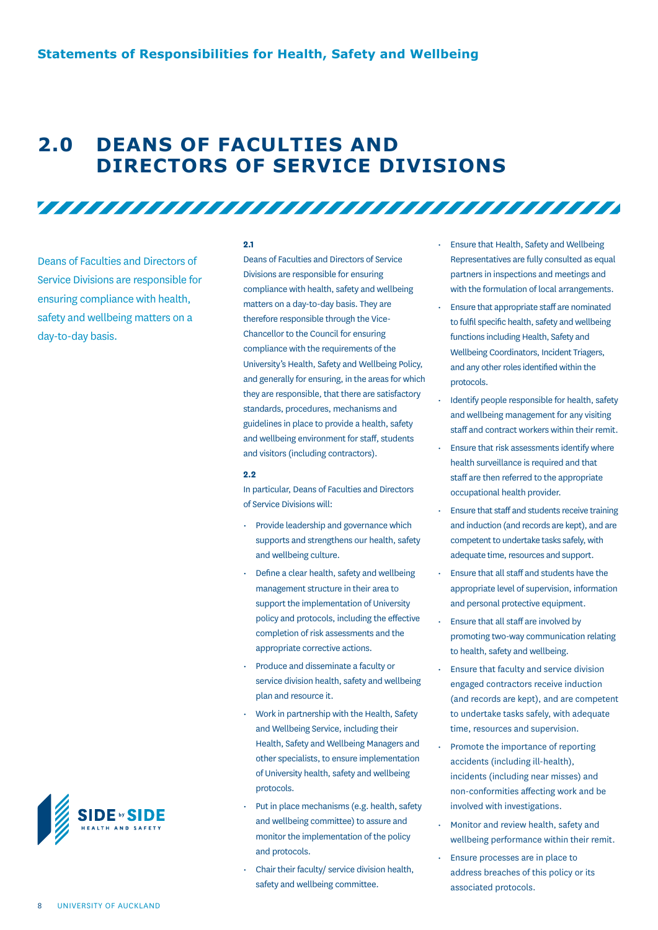### **2.0 DEANS OF FACULTIES AND DIRECTORS OF SERVICE DIVISIONS**

Deans of Faculties and Directors of Service Divisions are responsible for ensuring compliance with health, safety and wellbeing matters on a day-to-day basis.



Deans of Faculties and Directors of Service Divisions are responsible for ensuring compliance with health, safety and wellbeing matters on a day-to-day basis. They are therefore responsible through the Vice-Chancellor to the Council for ensuring compliance with the requirements of the University's Health, Safety and Wellbeing Policy, and generally for ensuring, in the areas for which they are responsible, that there are satisfactory standards, procedures, mechanisms and guidelines in place to provide a health, safety and wellbeing environment for staff, students and visitors (including contractors).

#### **2.2**

In particular, Deans of Faculties and Directors of Service Divisions will:

- Provide leadership and governance which supports and strengthens our health, safety and wellbeing culture.
- Define a clear health, safety and wellbeing management structure in their area to support the implementation of University policy and protocols, including the effective completion of risk assessments and the appropriate corrective actions.
- Produce and disseminate a faculty or service division health, safety and wellbeing plan and resource it.
- Work in partnership with the Health, Safety and Wellbeing Service, including their Health, Safety and Wellbeing Managers and other specialists, to ensure implementation of University health, safety and wellbeing protocols.
- Put in place mechanisms (e.g. health, safety and wellbeing committee) to assure and monitor the implementation of the policy and protocols.
- Chair their faculty/ service division health, safety and wellbeing committee.
- Ensure that Health, Safety and Wellbeing Representatives are fully consulted as equal partners in inspections and meetings and with the formulation of local arrangements.
- Ensure that appropriate staff are nominated to fulfil specific health, safety and wellbeing functions including Health, Safety and Wellbeing Coordinators, Incident Triagers, and any other roles identified within the protocols.
- Identify people responsible for health, safety and wellbeing management for any visiting staff and contract workers within their remit.
- Ensure that risk assessments identify where health surveillance is required and that staff are then referred to the appropriate occupational health provider.
- Ensure that staff and students receive training and induction (and records are kept), and are competent to undertake tasks safely, with adequate time, resources and support.
- Ensure that all staff and students have the appropriate level of supervision, information and personal protective equipment.
- Ensure that all staff are involved by promoting two-way communication relating to health, safety and wellbeing.
- Ensure that faculty and service division engaged contractors receive induction (and records are kept), and are competent to undertake tasks safely, with adequate time, resources and supervision.
- Promote the importance of reporting accidents (including ill-health), incidents (including near misses) and non-conformities affecting work and be involved with investigations.
- Monitor and review health, safety and wellbeing performance within their remit.
- Ensure processes are in place to address breaches of this policy or its associated protocols.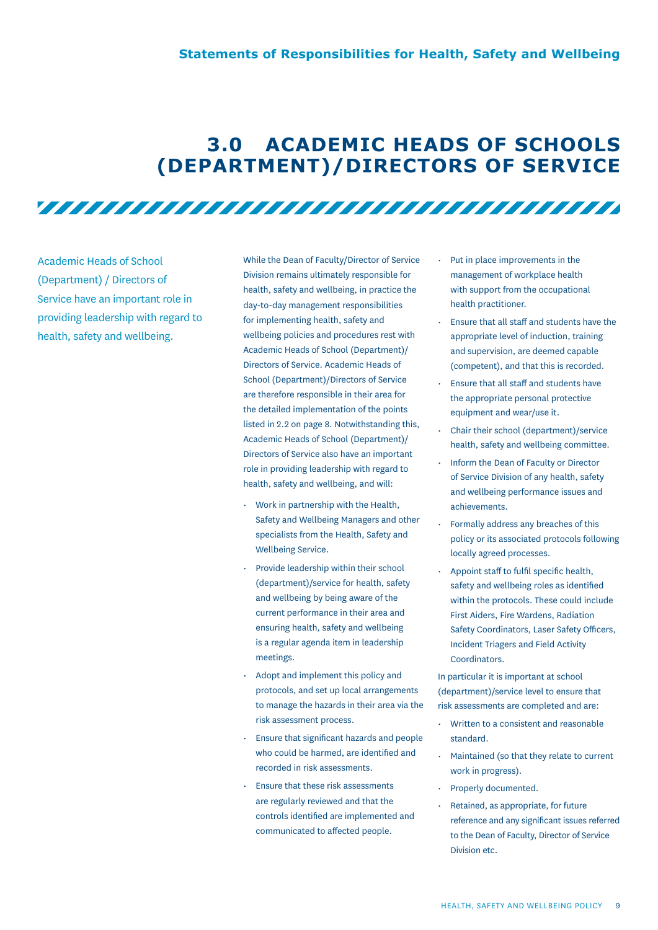### **3.0 ACADEMIC HEADS OF SCHOOLS (DEPARTMENT)/DIRECTORS OF SERVICE**

Academic Heads of School (Department) / Directors of Service have an important role in providing leadership with regard to health, safety and wellbeing.

While the Dean of Faculty/Director of Service Division remains ultimately responsible for health, safety and wellbeing, in practice the day-to-day management responsibilities for implementing health, safety and wellbeing policies and procedures rest with Academic Heads of School (Department)/ Directors of Service. Academic Heads of School (Department)/Directors of Service are therefore responsible in their area for the detailed implementation of the points listed in 2.2 on page 8. Notwithstanding this, Academic Heads of School (Department)/ Directors of Service also have an important role in providing leadership with regard to health, safety and wellbeing, and will:

<u>TITTI TITTI TITTI TITTI TITTI TITTI TITTI TITTI TITTI TITTI TITTI TITTI TITTI TITTI TITTI TITTI TITTI TITTI TI</u>

- Work in partnership with the Health, Safety and Wellbeing Managers and other specialists from the Health, Safety and Wellbeing Service.
- Provide leadership within their school (department)/service for health, safety and wellbeing by being aware of the current performance in their area and ensuring health, safety and wellbeing is a regular agenda item in leadership meetings.
- Adopt and implement this policy and protocols, and set up local arrangements to manage the hazards in their area via the risk assessment process.
- Ensure that significant hazards and people who could be harmed, are identified and recorded in risk assessments.
- Ensure that these risk assessments are regularly reviewed and that the controls identified are implemented and communicated to affected people.
- Put in place improvements in the management of workplace health with support from the occupational health practitioner.
- Ensure that all staff and students have the appropriate level of induction, training and supervision, are deemed capable (competent), and that this is recorded.
- Ensure that all staff and students have the appropriate personal protective equipment and wear/use it.
- Chair their school (department)/service health, safety and wellbeing committee.
- Inform the Dean of Faculty or Director of Service Division of any health, safety and wellbeing performance issues and achievements.
- Formally address any breaches of this policy or its associated protocols following locally agreed processes.
- Appoint staff to fulfil specific health, safety and wellbeing roles as identified within the protocols. These could include First Aiders, Fire Wardens, Radiation Safety Coordinators, Laser Safety Officers, Incident Triagers and Field Activity Coordinators.

In particular it is important at school (department)/service level to ensure that risk assessments are completed and are:

- Written to a consistent and reasonable standard.
- Maintained (so that they relate to current work in progress).
- Properly documented.
- Retained, as appropriate, for future reference and any significant issues referred to the Dean of Faculty, Director of Service Division etc.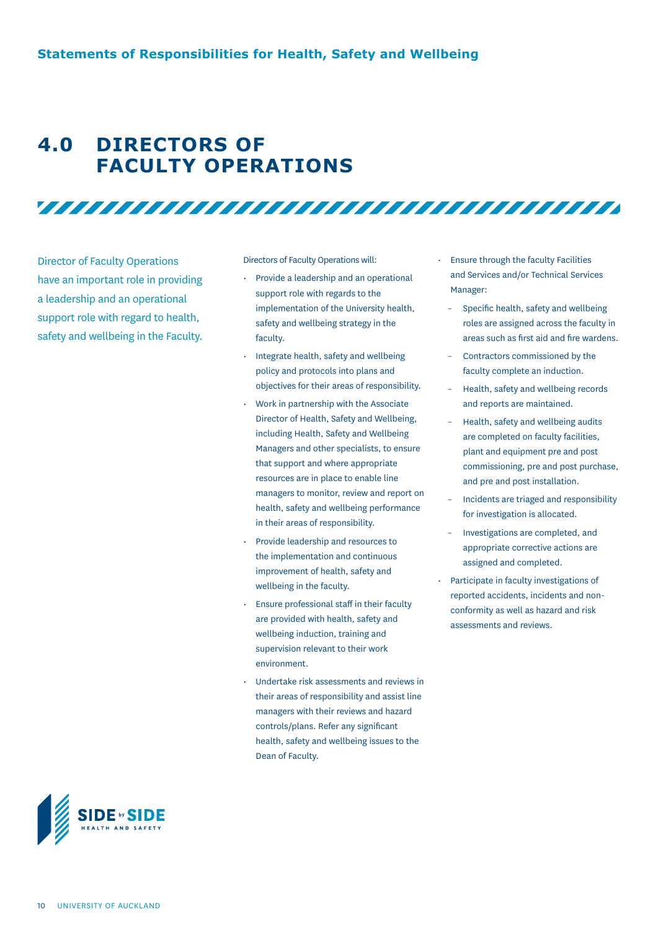### **4.0 DIRECTORS OF FACULTY OPERATIONS**

Director of Faculty Operations have an important role in providing a leadership and an operational support role with regard to health, safety and wellbeing in the Faculty. Directors of Faculty Operations will:

• Provide a leadership and an operational support role with regards to the implementation of the University health, safety and wellbeing strategy in the faculty.

- Integrate health, safety and wellbeing policy and protocols into plans and objectives for their areas of responsibility.
- Work in partnership with the Associate Director of Health, Safety and Wellbeing, including Health, Safety and Wellbeing Managers and other specialists, to ensure that support and where appropriate resources are in place to enable line managers to monitor, review and report on health, safety and wellbeing performance in their areas of responsibility.
- Provide leadership and resources to the implementation and continuous improvement of health, safety and wellbeing in the faculty.
- Ensure professional staff in their faculty are provided with health, safety and wellbeing induction, training and supervision relevant to their work environment.
- Undertake risk assessments and reviews in their areas of responsibility and assist line managers with their reviews and hazard controls/plans. Refer any significant health, safety and wellbeing issues to the Dean of Faculty.
- Ensure through the faculty Facilities and Services and/or Technical Services Manager:
	- Specific health, safety and wellbeing roles are assigned across the faculty in areas such as first aid and fire wardens.
	- Contractors commissioned by the faculty complete an induction.
	- Health, safety and wellbeing records and reports are maintained.
	- Health, safety and wellbeing audits are completed on faculty facilities, plant and equipment pre and post commissioning, pre and post purchase, and pre and post installation.
	- Incidents are triaged and responsibility for investigation is allocated.
	- Investigations are completed, and appropriate corrective actions are assigned and completed.
- Participate in faculty investigations of reported accidents, incidents and nonconformity as well as hazard and risk assessments and reviews.

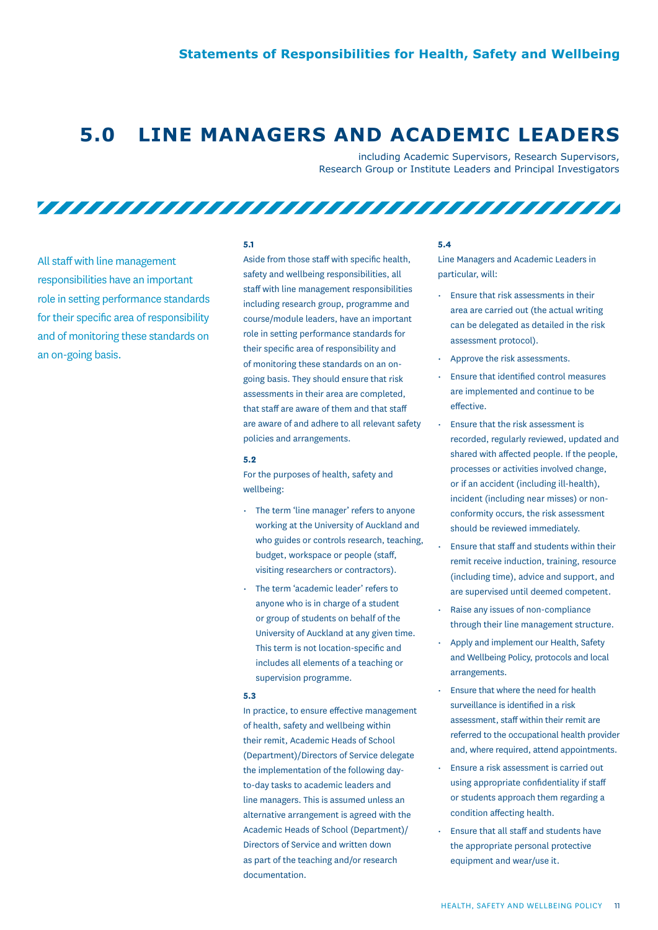### **5.0 LINE MANAGERS AND ACADEMIC LEADERS**

including Academic Supervisors, Research Supervisors, Research Group or Institute Leaders and Principal Investigators

All staff with line management responsibilities have an important role in setting performance standards for their specific area of responsibility and of monitoring these standards on an on-going basis.

#### **5.1**

Aside from those staff with specific health, safety and wellbeing responsibilities, all staff with line management responsibilities including research group, programme and course/module leaders, have an important role in setting performance standards for their specific area of responsibility and of monitoring these standards on an ongoing basis. They should ensure that risk assessments in their area are completed, that staff are aware of them and that staff are aware of and adhere to all relevant safety policies and arrangements.

#### **5.2**

For the purposes of health, safety and wellbeing:

- The term 'line manager' refers to anyone working at the University of Auckland and who guides or controls research, teaching, budget, workspace or people (staff, visiting researchers or contractors).
- The term 'academic leader' refers to anyone who is in charge of a student or group of students on behalf of the University of Auckland at any given time. This term is not location-specific and includes all elements of a teaching or supervision programme.

#### **5.3**

In practice, to ensure effective management of health, safety and wellbeing within their remit, Academic Heads of School (Department)/Directors of Service delegate the implementation of the following dayto-day tasks to academic leaders and line managers. This is assumed unless an alternative arrangement is agreed with the Academic Heads of School (Department)/ Directors of Service and written down as part of the teaching and/or research documentation.

#### **5.4**

Line Managers and Academic Leaders in particular, will:

- Ensure that risk assessments in their area are carried out (the actual writing can be delegated as detailed in the risk assessment protocol).
- Approve the risk assessments.
- Ensure that identified control measures are implemented and continue to be effective.
- Ensure that the risk assessment is recorded, regularly reviewed, updated and shared with affected people. If the people, processes or activities involved change, or if an accident (including ill-health), incident (including near misses) or nonconformity occurs, the risk assessment should be reviewed immediately.
- Ensure that staff and students within their remit receive induction, training, resource (including time), advice and support, and are supervised until deemed competent.
- Raise any issues of non-compliance through their line management structure.
- Apply and implement our Health, Safety and Wellbeing Policy, protocols and local arrangements.
- Ensure that where the need for health surveillance is identified in a risk assessment, staff within their remit are referred to the occupational health provider and, where required, attend appointments.
- Ensure a risk assessment is carried out using appropriate confidentiality if staff or students approach them regarding a condition affecting health.
- Ensure that all staff and students have the appropriate personal protective equipment and wear/use it.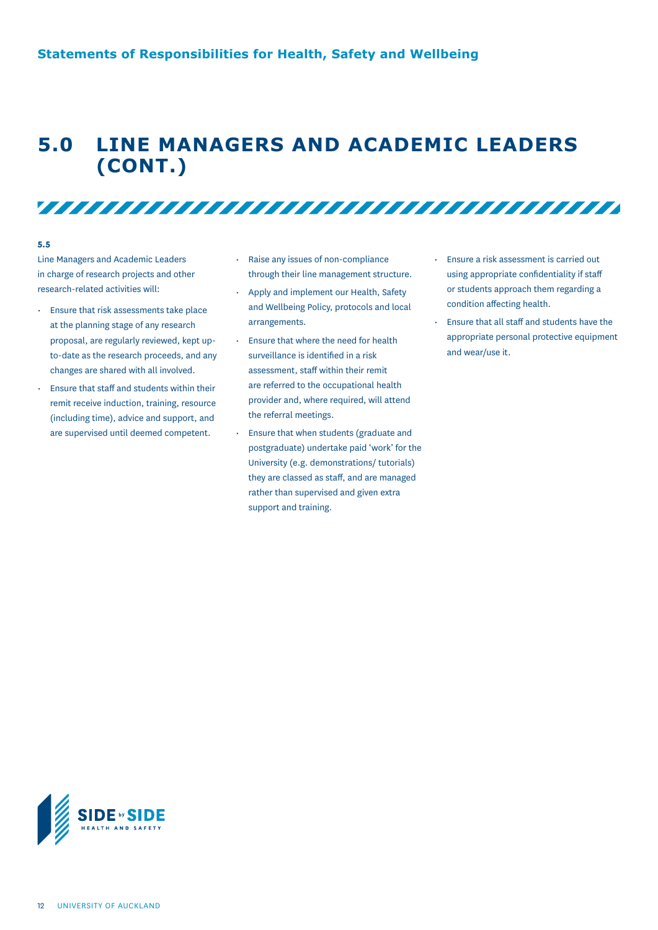### **5.0 LINE MANAGERS AND ACADEMIC LEADERS (CONT.)**

#### **5.5**

Line Managers and Academic Leaders in charge of research projects and other research-related activities will:

- Ensure that risk assessments take place at the planning stage of any research proposal, are regularly reviewed, kept upto-date as the research proceeds, and any changes are shared with all involved.
- Ensure that staff and students within their remit receive induction, training, resource (including time), advice and support, and are supervised until deemed competent.

Raise any issues of non-compliance through their line management structure.

- Apply and implement our Health, Safety and Wellbeing Policy, protocols and local arrangements.
- Ensure that where the need for health surveillance is identified in a risk assessment, staff within their remit are referred to the occupational health provider and, where required, will attend the referral meetings.
- Ensure that when students (graduate and postgraduate) undertake paid 'work' for the University (e.g. demonstrations/ tutorials) they are classed as staff, and are managed rather than supervised and given extra support and training.
- Ensure a risk assessment is carried out using appropriate confidentiality if staff or students approach them regarding a condition affecting health.
- Ensure that all staff and students have the appropriate personal protective equipment and wear/use it.

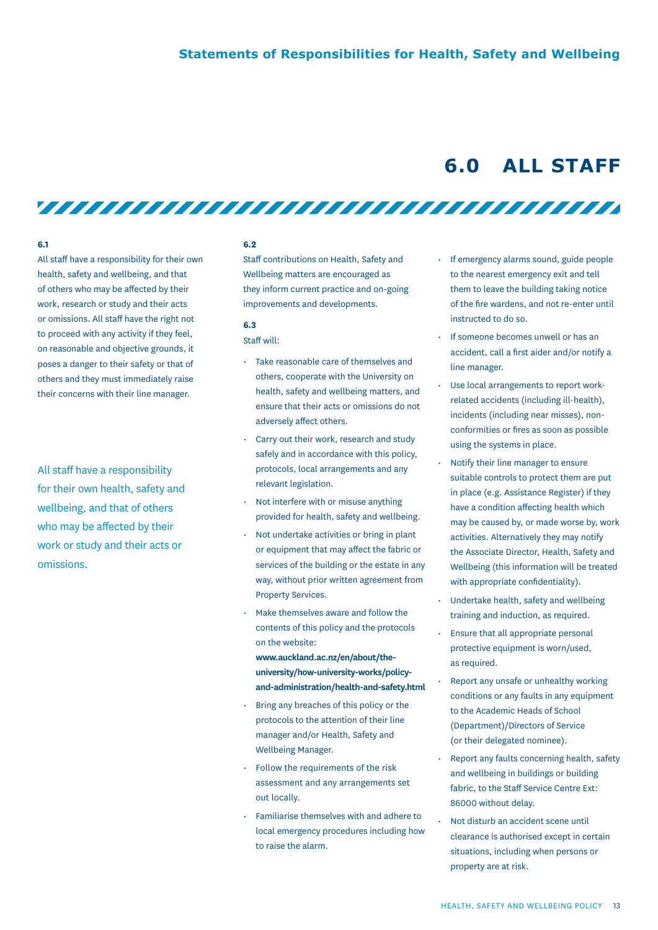### **6.0 ALL STAFF**

#### **6.1**

All staff have a responsibility for their own health, safety and wellbeing, and that of others who may be affected by their work, research or study and their acts or omissions. All staff have the right not to proceed with any activity if they feel, on reasonable and objective grounds, it poses a danger to their safety or that of others and they must immediately raise their concerns with their line manager.

All staff have a responsibility for their own health, safety and wellbeing, and that of others who may be affected by their work or study and their acts or omissions.

#### **6.2**

Staff contributions on Health, Safety and Wellbeing matters are encouraged as they inform current practice and on-going improvements and developments.

#### **6.3**

#### Staff will:

- Take reasonable care of themselves and others, cooperate with the University on health, safety and wellbeing matters, and ensure that their acts or omissions do not adversely affect others.
- Carry out their work, research and study safely and in accordance with this policy, protocols, local arrangements and any relevant legislation.
- Not interfere with or misuse anything provided for health, safety and wellbeing.
- Not undertake activities or bring in plant or equipment that may affect the fabric or services of the building or the estate in any way, without prior written agreement from Property Services.
- Make themselves aware and follow the contents of this policy and the protocols on the website:
	- **www.auckland.ac.nz/en/about/theuniversity/how-university-works/policyand-administration/health-and-safety.html**
- Bring any breaches of this policy or the protocols to the attention of their line manager and/or Health, Safety and Wellbeing Manager.
- Follow the requirements of the risk assessment and any arrangements set out locally.
- Familiarise themselves with and adhere to local emergency procedures including how to raise the alarm.
- If emergency alarms sound, guide people to the nearest emergency exit and tell them to leave the building taking notice of the fire wardens, and not re-enter until instructed to do so.
- If someone becomes unwell or has an accident, call a first aider and/or notify a line manager.
- Use local arrangements to report workrelated accidents (including ill-health), incidents (including near misses), nonconformities or fires as soon as possible using the systems in place.
- Notify their line manager to ensure suitable controls to protect them are put in place (e.g. Assistance Register) if they have a condition affecting health which may be caused by, or made worse by, work activities. Alternatively they may notify the Associate Director, Health, Safety and Wellbeing (this information will be treated with appropriate confidentiality).
- Undertake health, safety and wellbeing training and induction, as required.
- Ensure that all appropriate personal protective equipment is worn/used, as required.
- Report any unsafe or unhealthy working conditions or any faults in any equipment to the Academic Heads of School (Department)/Directors of Service (or their delegated nominee).
- Report any faults concerning health, safety and wellbeing in buildings or building fabric, to the Staff Service Centre Ext: 86000 without delay.
- Not disturb an accident scene until clearance is authorised except in certain situations, including when persons or property are at risk.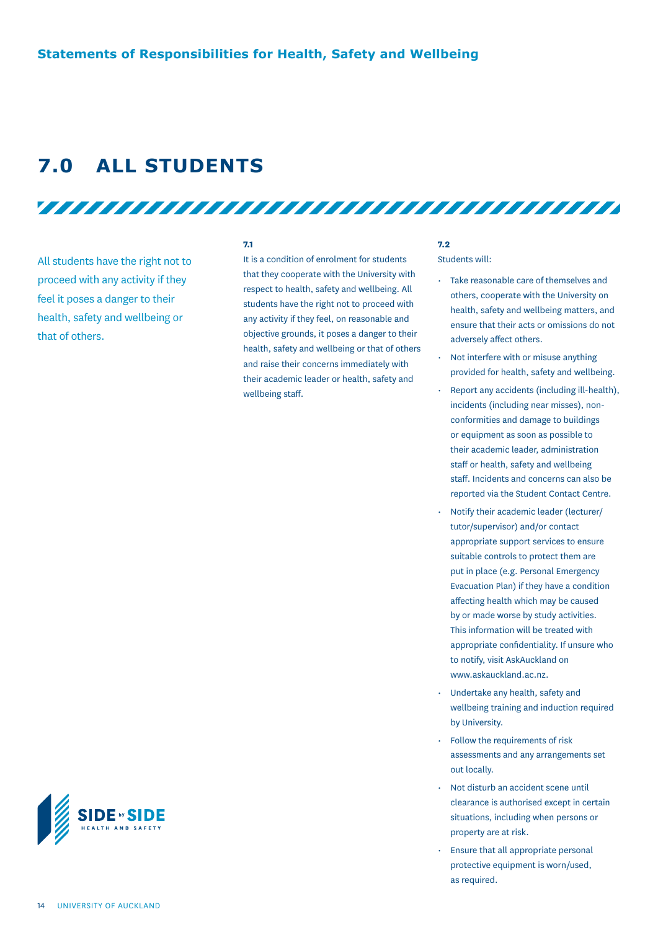### **7.0 ALL STUDENTS**

All students have the right not to proceed with any activity if they feel it poses a danger to their health, safety and wellbeing or that of others.

#### **7.1**

It is a condition of enrolment for students that they cooperate with the University with respect to health, safety and wellbeing. All students have the right not to proceed with any activity if they feel, on reasonable and objective grounds, it poses a danger to their health, safety and wellbeing or that of others and raise their concerns immediately with their academic leader or health, safety and wellbeing staff.

<u>TITTI TITTI TITTI TITTI TITTI TITTI TITTI TITTI TITTI TITTI TITTI TITTI TITTI TITTI TITTI TITTI TITTI TITTI TI</u>

#### **7.2**

Students will:

- Take reasonable care of themselves and others, cooperate with the University on health, safety and wellbeing matters, and ensure that their acts or omissions do not adversely affect others.
- Not interfere with or misuse anything provided for health, safety and wellbeing.
- Report any accidents (including ill-health), incidents (including near misses), nonconformities and damage to buildings or equipment as soon as possible to their academic leader, administration staff or health, safety and wellbeing staff. Incidents and concerns can also be reported via the Student Contact Centre.
- Notify their academic leader (lecturer/ tutor/supervisor) and/or contact appropriate support services to ensure suitable controls to protect them are put in place (e.g. Personal Emergency Evacuation Plan) if they have a condition affecting health which may be caused by or made worse by study activities. This information will be treated with appropriate confidentiality. If unsure who to notify, visit AskAuckland on www.askauckland.ac.nz.
- Undertake any health, safety and wellbeing training and induction required by University.
- Follow the requirements of risk assessments and any arrangements set out locally.
- Not disturb an accident scene until clearance is authorised except in certain situations, including when persons or property are at risk.
- Ensure that all appropriate personal protective equipment is worn/used, as required.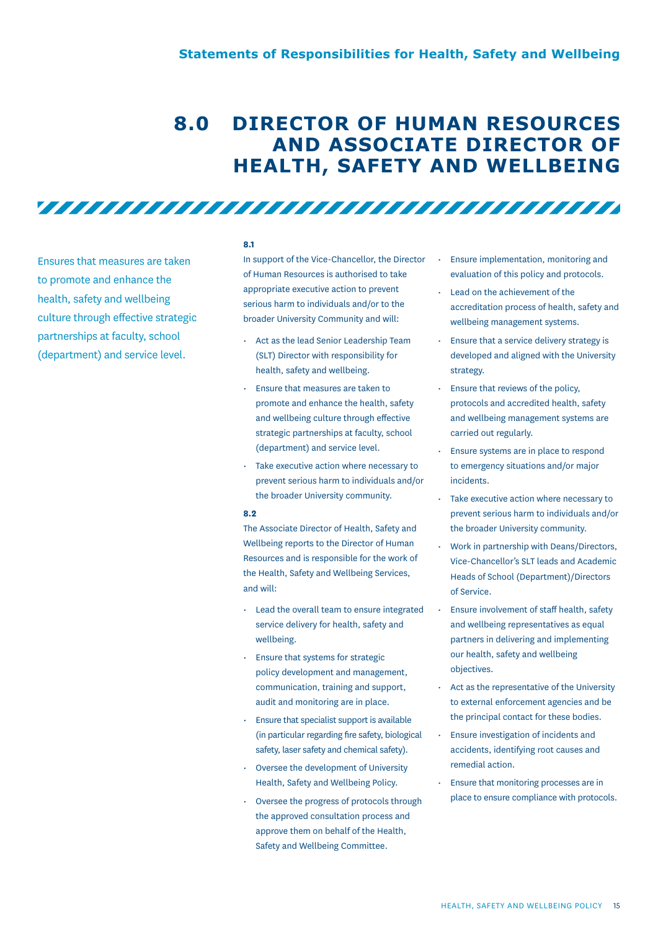# **8.0 DIRECTOR OF HUMAN RESOURCES AND ASSOCIATE DIRECTOR OF HEALTH, SAFETY AND WELLBEING**

Ensures that measures are taken to promote and enhance the health, safety and wellbeing culture through effective strategic partnerships at faculty, school (department) and service level.

#### **8.1**

In support of the Vice-Chancellor, the Director of Human Resources is authorised to take appropriate executive action to prevent serious harm to individuals and/or to the broader University Community and will:

<u>TITTI TITTI TITTI TITTI TITTI TITTI TITTI TITTI TITTI T</u>

- Act as the lead Senior Leadership Team (SLT) Director with responsibility for health, safety and wellbeing.
- Ensure that measures are taken to promote and enhance the health, safety and wellbeing culture through effective strategic partnerships at faculty, school (department) and service level.
- Take executive action where necessary to prevent serious harm to individuals and/or the broader University community.

#### **8.2**

The Associate Director of Health, Safety and Wellbeing reports to the Director of Human Resources and is responsible for the work of the Health, Safety and Wellbeing Services, and will:

- Lead the overall team to ensure integrated service delivery for health, safety and wellbeing.
- Ensure that systems for strategic policy development and management, communication, training and support, audit and monitoring are in place.
- Ensure that specialist support is available (in particular regarding fire safety, biological safety, laser safety and chemical safety).
- Oversee the development of University Health, Safety and Wellbeing Policy.
- Oversee the progress of protocols through the approved consultation process and approve them on behalf of the Health, Safety and Wellbeing Committee.
- Ensure implementation, monitoring and evaluation of this policy and protocols.
- Lead on the achievement of the accreditation process of health, safety and wellbeing management systems.
- Ensure that a service delivery strategy is developed and aligned with the University strategy.
- Ensure that reviews of the policy, protocols and accredited health, safety and wellbeing management systems are carried out regularly.
- Ensure systems are in place to respond to emergency situations and/or major incidents.
- Take executive action where necessary to prevent serious harm to individuals and/or the broader University community.
- Work in partnership with Deans/Directors, Vice-Chancellor's SLT leads and Academic Heads of School (Department)/Directors of Service.
- Ensure involvement of staff health, safety and wellbeing representatives as equal partners in delivering and implementing our health, safety and wellbeing objectives.
- Act as the representative of the University to external enforcement agencies and be the principal contact for these bodies.
- Ensure investigation of incidents and accidents, identifying root causes and remedial action.
- Ensure that monitoring processes are in place to ensure compliance with protocols.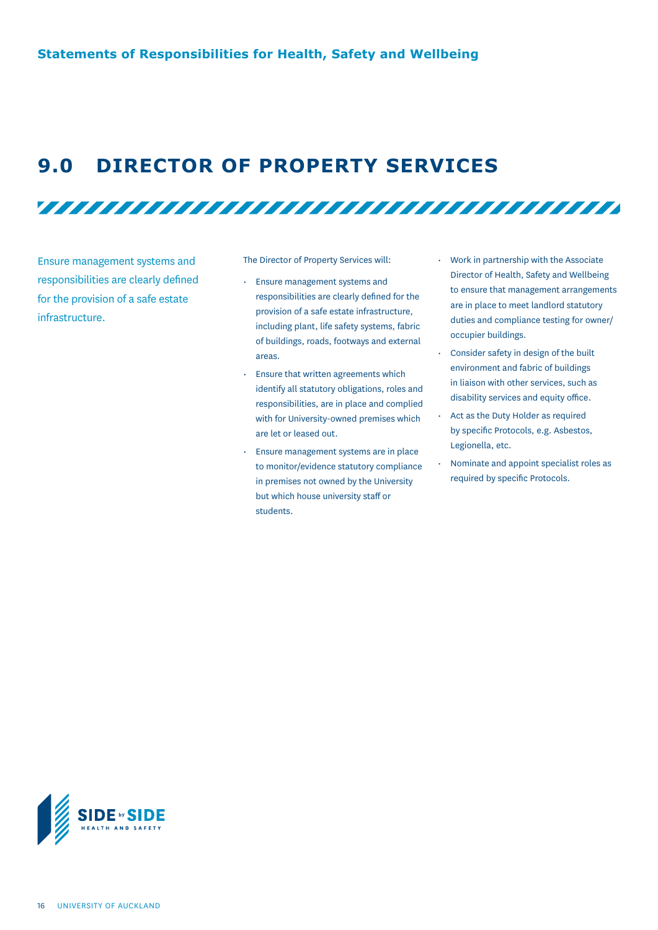### **9.0 DIRECTOR OF PROPERTY SERVICES**

<u>TAAN AHAAN AHAAN AHAAN AHAAN AHAAN AHAAN AHAAN AHAAN AHAAN AHAAN AHAAN AHAAN AHAAN AHAAN AHAAN AHAAN AHAAN AHA</u>

Ensure management systems and responsibilities are clearly defined for the provision of a safe estate infrastructure.

The Director of Property Services will:

- Ensure management systems and responsibilities are clearly defined for the provision of a safe estate infrastructure, including plant, life safety systems, fabric of buildings, roads, footways and external areas.
- Ensure that written agreements which identify all statutory obligations, roles and responsibilities, are in place and complied with for University-owned premises which are let or leased out.
- Ensure management systems are in place to monitor/evidence statutory compliance in premises not owned by the University but which house university staff or students.
- Work in partnership with the Associate Director of Health, Safety and Wellbeing to ensure that management arrangements are in place to meet landlord statutory duties and compliance testing for owner/ occupier buildings.
- Consider safety in design of the built environment and fabric of buildings in liaison with other services, such as disability services and equity office.
- Act as the Duty Holder as required by specific Protocols, e.g. Asbestos, Legionella, etc.
- Nominate and appoint specialist roles as required by specific Protocols.

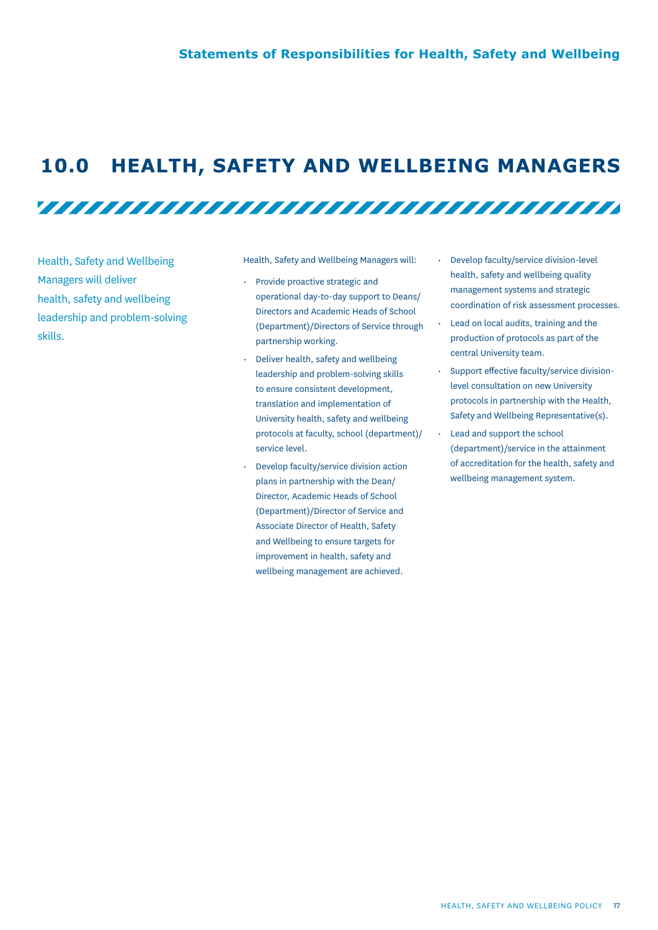### **10.0 HEALTH, SAFETY AND WELLBEING MANAGERS**

<u>TITTI TITTI TITTI TITTI TITTI TITTI TITTI TITTI TITTI TITTI TITTI TITTI TITTI TITTI TITTI TITTI TITTI TITTI TI</u>

Health, Safety and Wellbeing Managers will deliver health, safety and wellbeing leadership and problem-solving skills.

Health, Safety and Wellbeing Managers will:

- Provide proactive strategic and operational day-to-day support to Deans/ Directors and Academic Heads of School (Department)/Directors of Service through partnership working.
- Deliver health, safety and wellbeing leadership and problem-solving skills to ensure consistent development, translation and implementation of University health, safety and wellbeing protocols at faculty, school (department)/ service level.
- Develop faculty/service division action plans in partnership with the Dean/ Director, Academic Heads of School (Department)/Director of Service and Associate Director of Health, Safety and Wellbeing to ensure targets for improvement in health, safety and wellbeing management are achieved.
- Develop faculty/service division-level health, safety and wellbeing quality management systems and strategic coordination of risk assessment processes.
- Lead on local audits, training and the production of protocols as part of the central University team.
- Support effective faculty/service divisionlevel consultation on new University protocols in partnership with the Health, Safety and Wellbeing Representative(s).
- Lead and support the school (department)/service in the attainment of accreditation for the health, safety and wellbeing management system.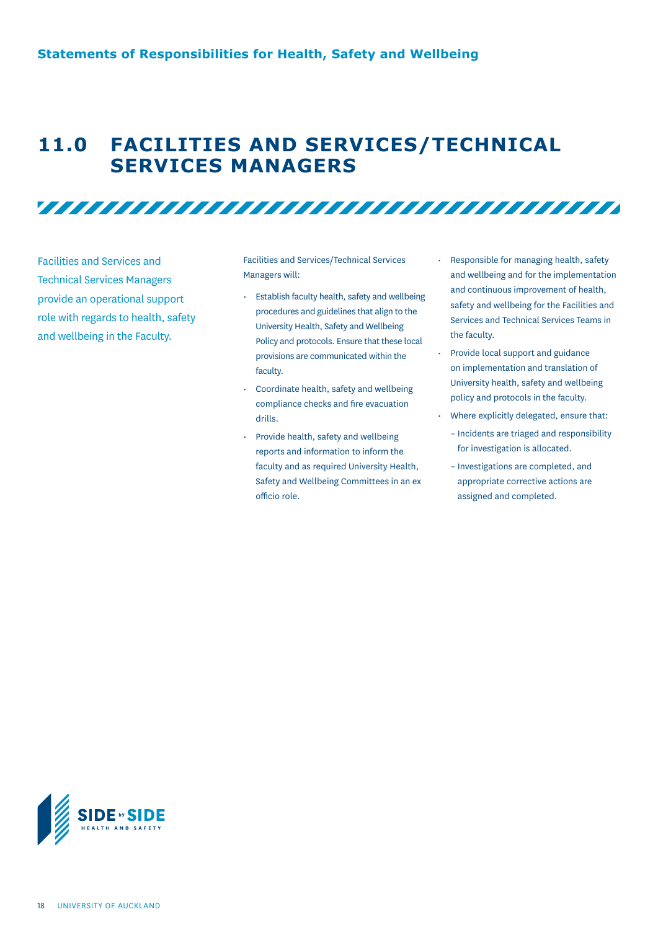### **11.0 FACILITIES AND SERVICES/TECHNICAL SERVICES MANAGERS**

Facilities and Services and Technical Services Managers provide an operational support role with regards to health, safety and wellbeing in the Faculty.

Facilities and Services/Technical Services Managers will:

- Establish faculty health, safety and wellbeing procedures and guidelines that align to the University Health, Safety and Wellbeing Policy and protocols. Ensure that these local provisions are communicated within the faculty.
- Coordinate health, safety and wellbeing compliance checks and fire evacuation drills.
- Provide health, safety and wellbeing reports and information to inform the faculty and as required University Health, Safety and Wellbeing Committees in an ex officio role.
- Responsible for managing health, safety and wellbeing and for the implementation and continuous improvement of health, safety and wellbeing for the Facilities and Services and Technical Services Teams in the faculty.
- Provide local support and guidance on implementation and translation of University health, safety and wellbeing policy and protocols in the faculty.
- Where explicitly delegated, ensure that:
	- Incidents are triaged and responsibility for investigation is allocated.
	- Investigations are completed, and appropriate corrective actions are assigned and completed.

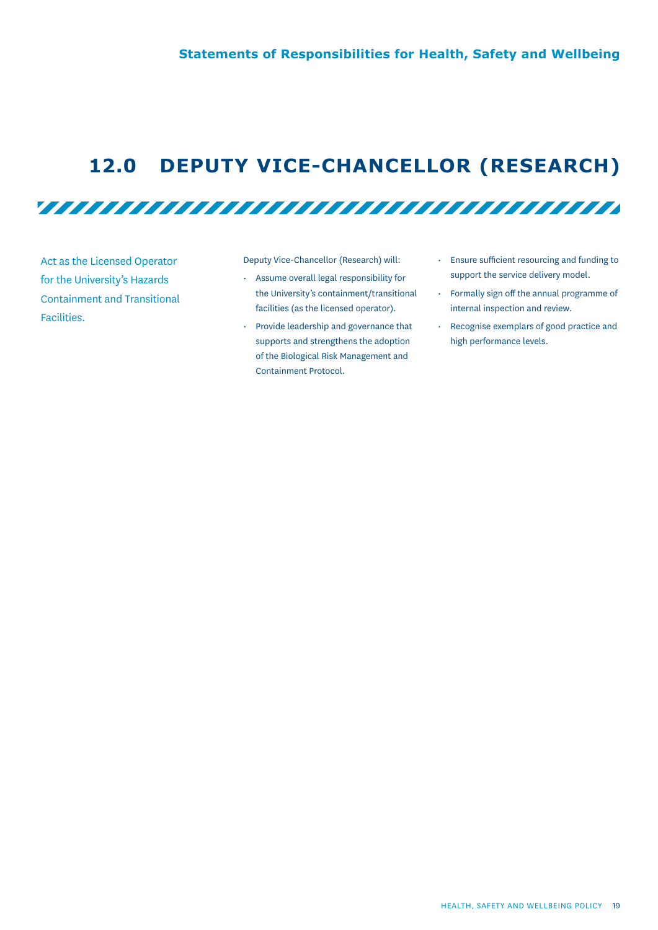# **12.0 DEPUTY VICE-CHANCELLOR (RESEARCH)**

<u>TITTI TITTI TITTI TITTI TITTI TITTI TITTI TITTI TITTI TITTI TITTI TITTI TITTI TITTI TITTI TITTI TITTI TITTI TI</u>

Act as the Licensed Operator for the University's Hazards Containment and Transitional Facilities.

Deputy Vice-Chancellor (Research) will:

- Assume overall legal responsibility for the University's containment/transitional facilities (as the licensed operator).
- Provide leadership and governance that supports and strengthens the adoption of the Biological Risk Management and Containment Protocol.
- Ensure sufficient resourcing and funding to support the service delivery model.
- Formally sign off the annual programme of internal inspection and review.
- Recognise exemplars of good practice and high performance levels.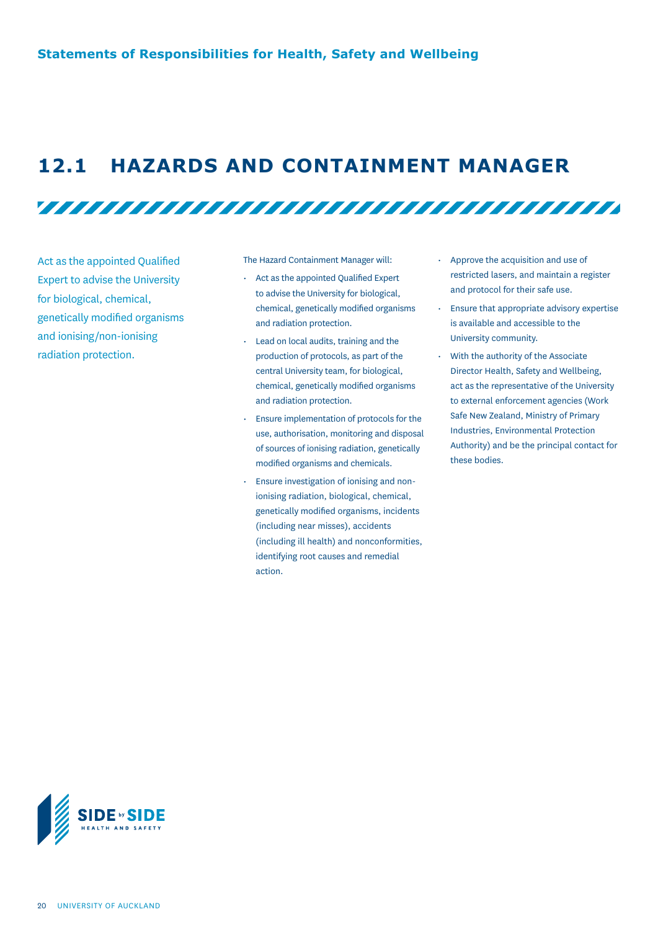### **12.1 HAZARDS AND CONTAINMENT MANAGER**

Act as the appointed Qualified Expert to advise the University for biological, chemical, genetically modified organisms and ionising/non-ionising radiation protection.

The Hazard Containment Manager will:

• Act as the appointed Qualified Expert to advise the University for biological, chemical, genetically modified organisms and radiation protection.

<u>TITTI TITTI TITTI TITTI TITTI TITTI TITTI TITTI TITTI TITTI TITTI TITTI TITTI TITTI TITTI TITTI TITTI TITTI TI</u>

- Lead on local audits, training and the production of protocols, as part of the central University team, for biological, chemical, genetically modified organisms and radiation protection.
- Ensure implementation of protocols for the use, authorisation, monitoring and disposal of sources of ionising radiation, genetically modified organisms and chemicals.
- Ensure investigation of ionising and nonionising radiation, biological, chemical, genetically modified organisms, incidents (including near misses), accidents (including ill health) and nonconformities, identifying root causes and remedial action.
- Approve the acquisition and use of restricted lasers, and maintain a register and protocol for their safe use.
- Ensure that appropriate advisory expertise is available and accessible to the University community.
- With the authority of the Associate Director Health, Safety and Wellbeing, act as the representative of the University to external enforcement agencies (Work Safe New Zealand, Ministry of Primary Industries, Environmental Protection Authority) and be the principal contact for these bodies.

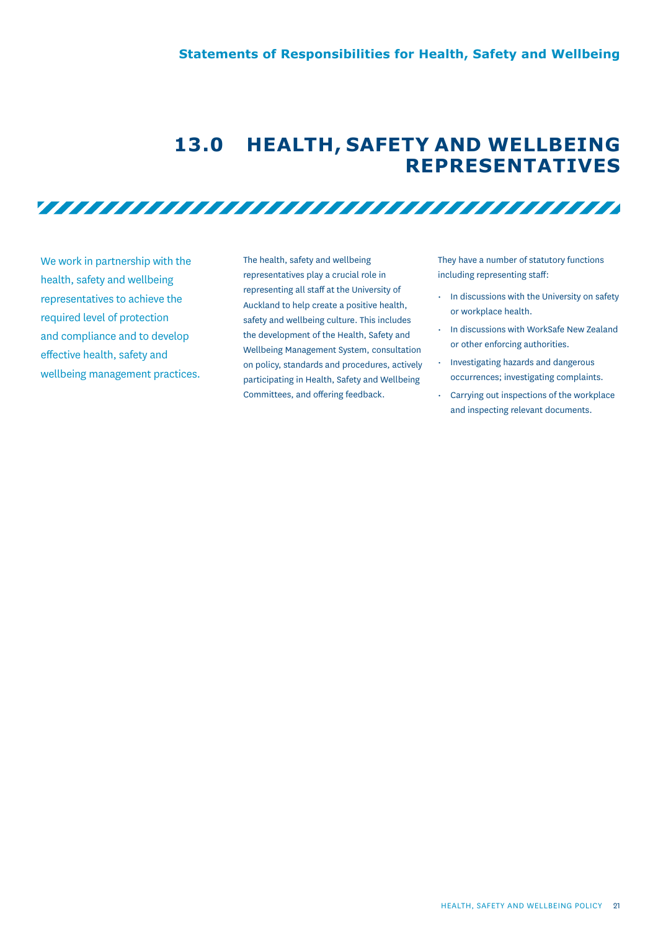### **13.0 HEALTH, SAFETY AND WELLBEING REPRESENTATIVES**

<u>TITTI TITTI TITTI TITTI TITTI TITTI TITTI TITTI TITTI TITTI TITTI TITTI TITTI TITTI TITTI TITTI TITTI TITTI TI</u>

We work in partnership with the health, safety and wellbeing representatives to achieve the required level of protection and compliance and to develop effective health, safety and wellbeing management practices. The health, safety and wellbeing representatives play a crucial role in representing all staff at the University of Auckland to help create a positive health, safety and wellbeing culture. This includes the development of the Health, Safety and Wellbeing Management System, consultation on policy, standards and procedures, actively participating in Health, Safety and Wellbeing Committees, and offering feedback.

They have a number of statutory functions including representing staff:

- In discussions with the University on safety or workplace health.
- In discussions with WorkSafe New Zealand or other enforcing authorities.
- Investigating hazards and dangerous occurrences; investigating complaints.
- Carrying out inspections of the workplace and inspecting relevant documents.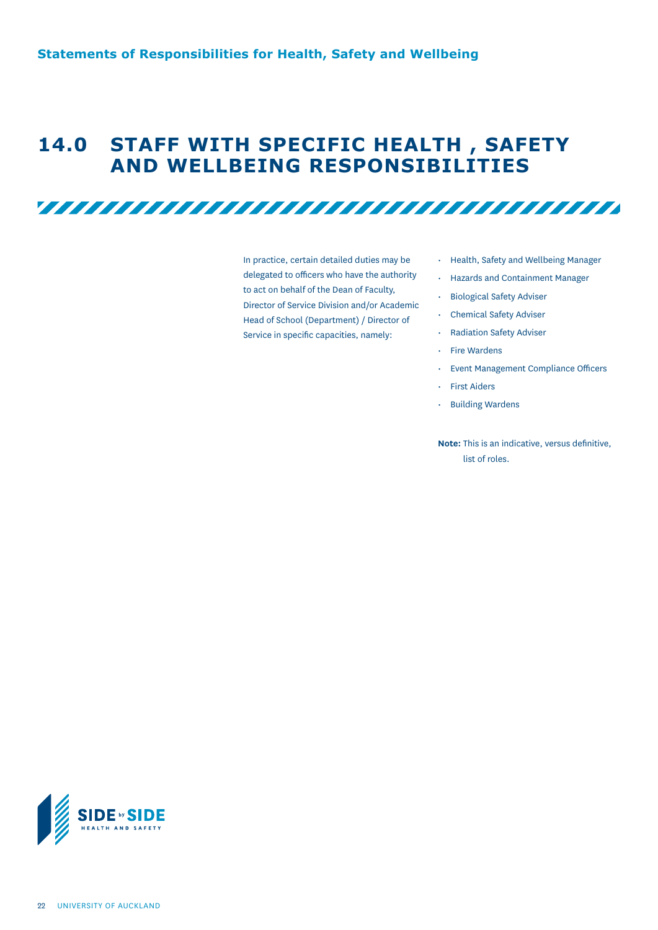### **14.0 STAFF WITH SPECIFIC HEALTH , SAFETY AND WELLBEING RESPONSIBILITIES**

<u>TITTI TITTI TITTI TITTI TITTI TITTI TITTI TITTI TITTI TITTI TITTI TITTI TITTI TITTI TITTI TITTI TITTI TITTI TI</u>

In practice, certain detailed duties may be delegated to officers who have the authority to act on behalf of the Dean of Faculty, Director of Service Division and/or Academic Head of School (Department) / Director of Service in specific capacities, namely:

- Health, Safety and Wellbeing Manager
- Hazards and Containment Manager
- Biological Safety Adviser
- Chemical Safety Adviser
- Radiation Safety Adviser
- Fire Wardens
- Event Management Compliance Officers
- First Aiders
- Building Wardens

**Note:** This is an indicative, versus definitive, list of roles.

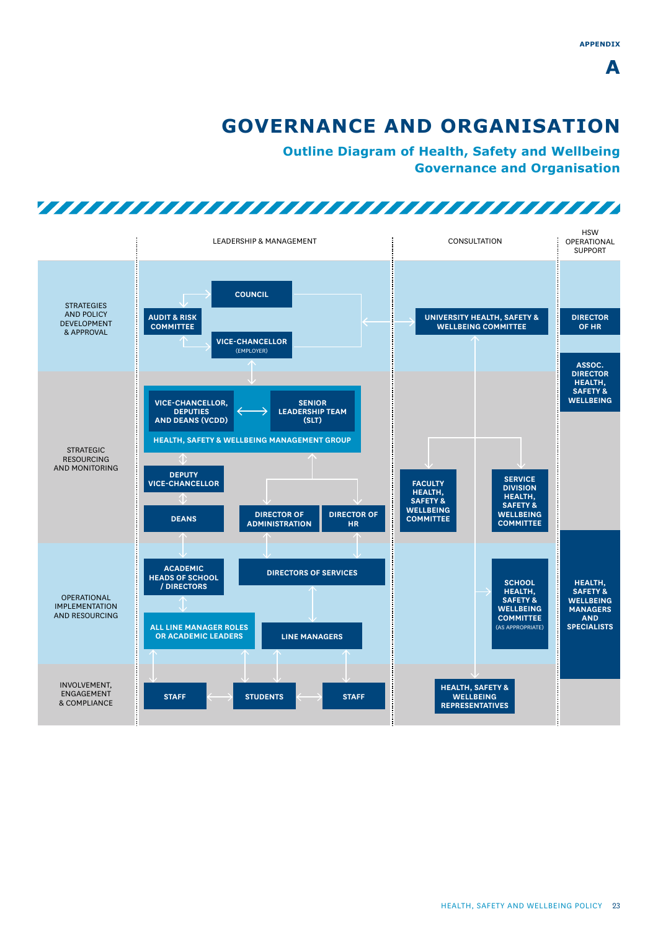# **GOVERNANCE AND ORGANISATION**

**Outline Diagram of Health, Safety and Wellbeing Governance and Organisation**

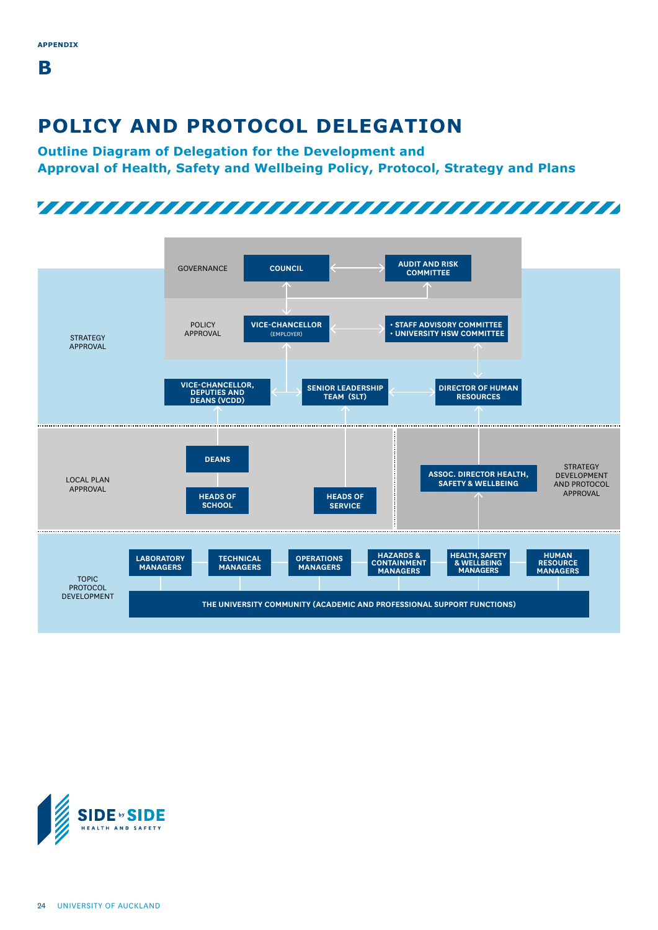**B**

# **POLICY AND PROTOCOL DELEGATION**

**Outline Diagram of Delegation for the Development and Approval of Health, Safety and Wellbeing Policy, Protocol, Strategy and Plans**





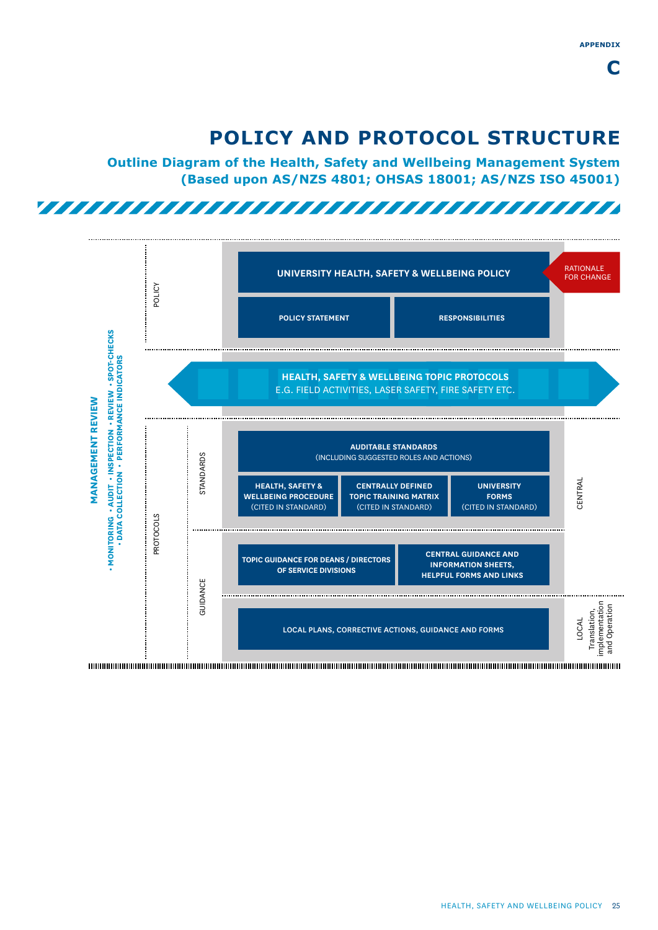# **POLICY AND PROTOCOL STRUCTURE**

**Outline Diagram of the Health, Safety and Wellbeing Management System (Based upon AS/NZS 4801; OHSAS 18001; AS/NZS ISO 45001)**

# 

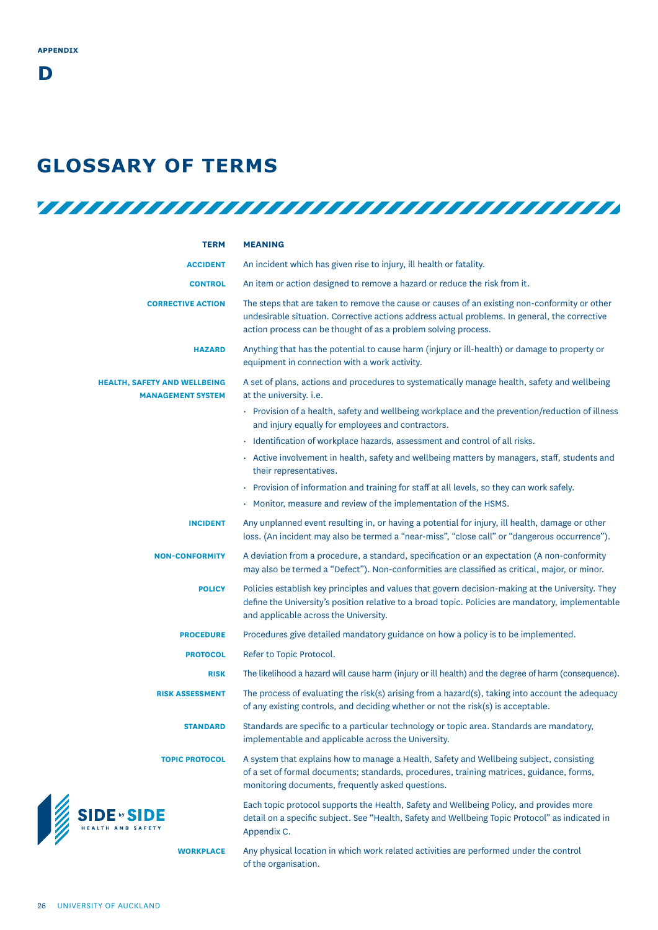### **GLOSSARY OF TERMS**

| <b>TERM</b>                                                     | <b>MEANING</b>                                                                                                                                                                                                                                                   |
|-----------------------------------------------------------------|------------------------------------------------------------------------------------------------------------------------------------------------------------------------------------------------------------------------------------------------------------------|
| <b>ACCIDENT</b>                                                 | An incident which has given rise to injury, ill health or fatality.                                                                                                                                                                                              |
| <b>CONTROL</b>                                                  | An item or action designed to remove a hazard or reduce the risk from it.                                                                                                                                                                                        |
| <b>CORRECTIVE ACTION</b>                                        | The steps that are taken to remove the cause or causes of an existing non-conformity or other<br>undesirable situation. Corrective actions address actual problems. In general, the corrective<br>action process can be thought of as a problem solving process. |
| <b>HAZARD</b>                                                   | Anything that has the potential to cause harm (injury or ill-health) or damage to property or<br>equipment in connection with a work activity.                                                                                                                   |
| <b>HEALTH, SAFETY AND WELLBEING</b><br><b>MANAGEMENT SYSTEM</b> | A set of plans, actions and procedures to systematically manage health, safety and wellbeing<br>at the university. i.e.                                                                                                                                          |
|                                                                 | · Provision of a health, safety and wellbeing workplace and the prevention/reduction of illness<br>and injury equally for employees and contractors.                                                                                                             |
|                                                                 | · Identification of workplace hazards, assessment and control of all risks.                                                                                                                                                                                      |
|                                                                 | • Active involvement in health, safety and wellbeing matters by managers, staff, students and<br>their representatives.                                                                                                                                          |
|                                                                 | · Provision of information and training for staff at all levels, so they can work safely.                                                                                                                                                                        |
|                                                                 | • Monitor, measure and review of the implementation of the HSMS.                                                                                                                                                                                                 |
| <b>INCIDENT</b>                                                 | Any unplanned event resulting in, or having a potential for injury, ill health, damage or other<br>loss. (An incident may also be termed a "near-miss", "close call" or "dangerous occurrence").                                                                 |
| <b>NON-CONFORMITY</b>                                           | A deviation from a procedure, a standard, specification or an expectation (A non-conformity<br>may also be termed a "Defect"). Non-conformities are classified as critical, major, or minor.                                                                     |
| <b>POLICY</b>                                                   | Policies establish key principles and values that govern decision-making at the University. They<br>define the University's position relative to a broad topic. Policies are mandatory, implementable<br>and applicable across the University.                   |
| <b>PROCEDURE</b>                                                | Procedures give detailed mandatory guidance on how a policy is to be implemented.                                                                                                                                                                                |
| <b>PROTOCOL</b>                                                 | Refer to Topic Protocol.                                                                                                                                                                                                                                         |
| <b>RISK</b>                                                     | The likelihood a hazard will cause harm (injury or ill health) and the degree of harm (consequence).                                                                                                                                                             |
| <b>RISK ASSESSMENT</b>                                          | The process of evaluating the risk(s) arising from a hazard(s), taking into account the adequacy<br>of any existing controls, and deciding whether or not the risk(s) is acceptable.                                                                             |
| <b>STANDARD</b>                                                 | Standards are specific to a particular technology or topic area. Standards are mandatory,<br>implementable and applicable across the University.                                                                                                                 |
| <b>TOPIC PROTOCOL</b>                                           | A system that explains how to manage a Health, Safety and Wellbeing subject, consisting<br>of a set of formal documents; standards, procedures, training matrices, guidance, forms,<br>monitoring documents, frequently asked questions.                         |
| SIDE DY SIDE                                                    | Each topic protocol supports the Health, Safety and Wellbeing Policy, and provides more<br>detail on a specific subject. See "Health, Safety and Wellbeing Topic Protocol" as indicated in<br>Appendix C.                                                        |
| <b>WORKPLACE</b>                                                | Any physical location in which work related activities are performed under the control<br>of the organisation.                                                                                                                                                   |